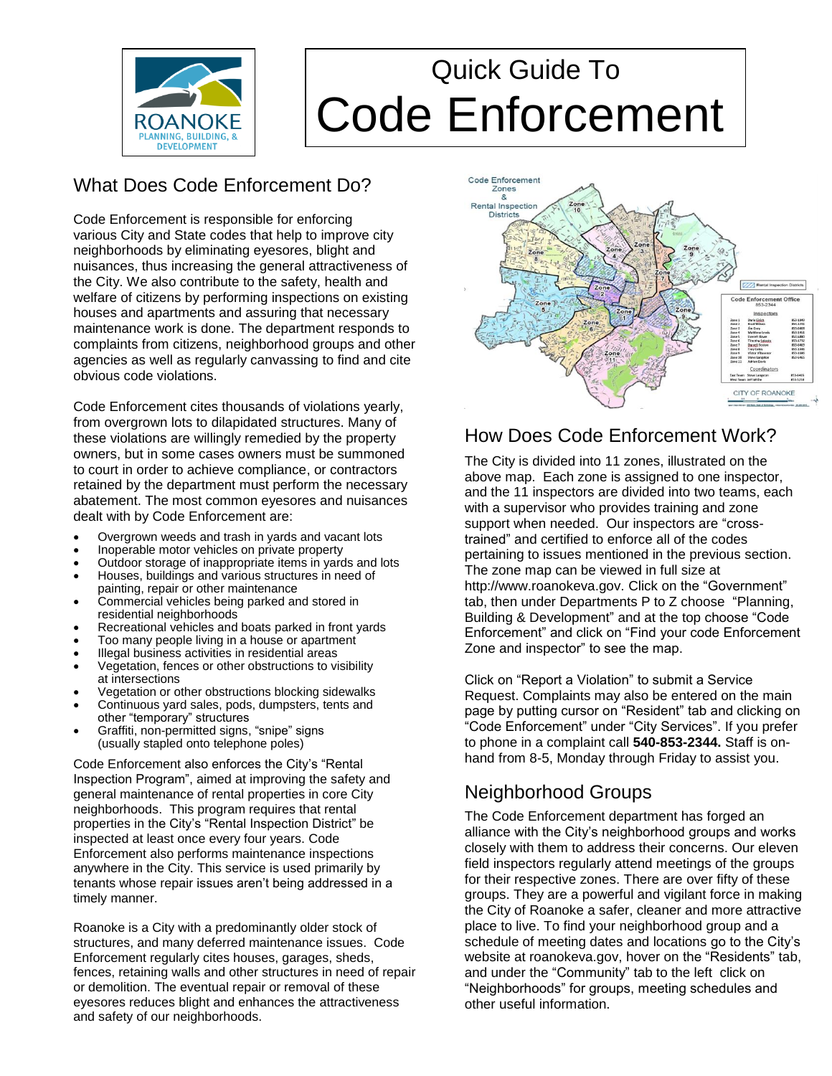

# Quick Guide To Code Enforcement

# What Does Code Enforcement Do?

Code Enforcement is responsible for enforcing various City and State codes that help to improve city neighborhoods by eliminating eyesores, blight and nuisances, thus increasing the general attractiveness of the City. We also contribute to the safety, health and welfare of citizens by performing inspections on existing houses and apartments and assuring that necessary maintenance work is done. The department responds to complaints from citizens, neighborhood groups and other agencies as well as regularly canvassing to find and cite obvious code violations.

Code Enforcement cites thousands of violations yearly, from overgrown lots to dilapidated structures. Many of these violations are willingly remedied by the property owners, but in some cases owners must be summoned to court in order to achieve compliance, or contractors retained by the department must perform the necessary abatement. The most common eyesores and nuisances dealt with by Code Enforcement are:

- Overgrown weeds and trash in yards and vacant lots
- Inoperable motor vehicles on private property
- Outdoor storage of inappropriate items in yards and lots
- Houses, buildings and various structures in need of painting, repair or other maintenance
- Commercial vehicles being parked and stored in residential neighborhoods
- Recreational vehicles and boats parked in front yards
- Too many people living in a house or apartment
- Illegal business activities in residential areas
- Vegetation, fences or other obstructions to visibility at intersections
- Vegetation or other obstructions blocking sidewalks
- Continuous yard sales, pods, dumpsters, tents and other "temporary" structures
- Graffiti, non-permitted signs, "snipe" signs (usually stapled onto telephone poles)

Code Enforcement also enforces the City's "Rental Inspection Program", aimed at improving the safety and general maintenance of rental properties in core City neighborhoods. This program requires that rental properties in the City's "Rental Inspection District" be inspected at least once every four years. Code Enforcement also performs maintenance inspections anywhere in the City. This service is used primarily by tenants whose repair issues aren't being addressed in a timely manner.

Roanoke is a City with a predominantly older stock of structures, and many deferred maintenance issues. Code Enforcement regularly cites houses, garages, sheds, fences, retaining walls and other structures in need of repair or demolition. The eventual repair or removal of these eyesores reduces blight and enhances the attractiveness and safety of our neighborhoods.



## How Does Code Enforcement Work?

The City is divided into 11 zones, illustrated on the above map. Each zone is assigned to one inspector, and the 11 inspectors are divided into two teams, each with a supervisor who provides training and zone support when needed. Our inspectors are "crosstrained" and certified to enforce all of the codes pertaining to issues mentioned in the previous section. The zone map can be viewed in full size at http://www.roanokeva.gov. Click on the "Government" tab, then under Departments P to Z choose "Planning, Building & Development" and at the top choose "Code Enforcement" and click on "Find your code Enforcement Zone and inspector" to see the map.

Click on "Report a Violation" to submit a Service Request. Complaints may also be entered on the main page by putting cursor on "Resident" tab and clicking on "Code Enforcement" under "City Services". If you prefer to phone in a complaint call **540-853-2344.** Staff is onhand from 8-5, Monday through Friday to assist you.

# Neighborhood Groups

The Code Enforcement department has forged an alliance with the City's neighborhood groups and works closely with them to address their concerns. Our eleven field inspectors regularly attend meetings of the groups for their respective zones. There are over fifty of these groups. They are a powerful and vigilant force in making the City of Roanoke a safer, cleaner and more attractive place to live. To find your neighborhood group and a schedule of meeting dates and locations go to the City's website at roanokeva.gov, hover on the "Residents" tab, and under the "Community" tab to the left click on "Neighborhoods" for groups, meeting schedules and other useful information.